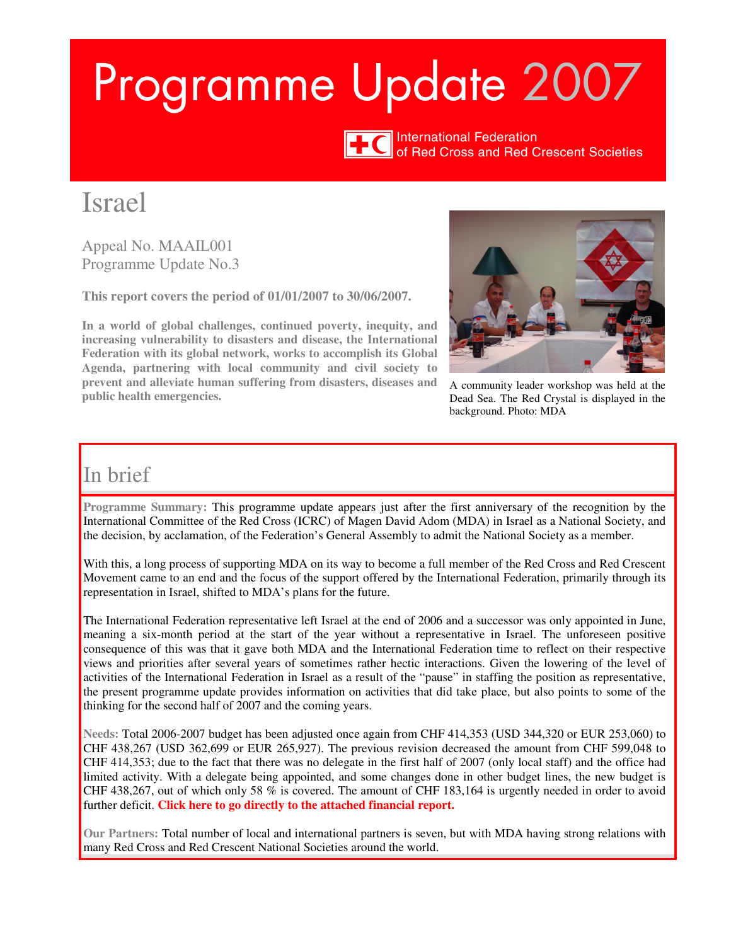# Programme Update 2007



International Federation<br>
of Red Cross and Red Crescent Societies

## Israel

Appeal No. MAAIL001 Programme Update No.3

**This report covers the period of 01/01/2007 to 30/06/2007.** 

**In a world of global challenges, continued poverty, inequity, and increasing vulnerability to disasters and disease, the International Federation with its global network, works to accomplish its Global Agenda, partnering with local community and civil society to prevent and alleviate human suffering from disasters, diseases and public health emergencies.** 



A community leader workshop was held at the Dead Sea. The Red Crystal is displayed in the background. Photo: MDA

## In brief

**Programme Summary:** This programme update appears just after the first anniversary of the recognition by the International Committee of the Red Cross (ICRC) of Magen David Adom (MDA) in Israel as a National Society, and the decision, by acclamation, of the Federation's General Assembly to admit the National Society as a member.

With this, a long process of supporting MDA on its way to become a full member of the Red Cross and Red Crescent Movement came to an end and the focus of the support offered by the International Federation, primarily through its representation in Israel, shifted to MDA's plans for the future.

The International Federation representative left Israel at the end of 2006 and a successor was only appointed in June, meaning a six-month period at the start of the year without a representative in Israel. The unforeseen positive consequence of this was that it gave both MDA and the International Federation time to reflect on their respective views and priorities after several years of sometimes rather hectic interactions. Given the lowering of the level of activities of the International Federation in Israel as a result of the "pause" in staffing the position as representative, the present programme update provides information on activities that did take place, but also points to some of the thinking for the second half of 2007 and the coming years.

**Needs:** Total 2006-2007 budget has been adjusted once again from CHF 414,353 (USD 344,320 or EUR 253,060) to CHF 438,267 (USD 362,699 or EUR 265,927). The previous revision decreased the amount from CHF 599,048 to CHF 414,353; due to the fact that there was no delegate in the first half of 2007 (only local staff) and the office had limited activity. With a delegate being appointed, and some changes done in other budget lines, the new budget is CHF 438,267, out of which only 58 % is covered. The amount of CHF 183,164 is urgently needed in order to avoid further deficit. **[Click here to go directly to the attached financial report.](#page-5-0)** 

**Our Partners:** Total number of local and international partners is seven, but with MDA having strong relations with many Red Cross and Red Crescent National Societies around the world.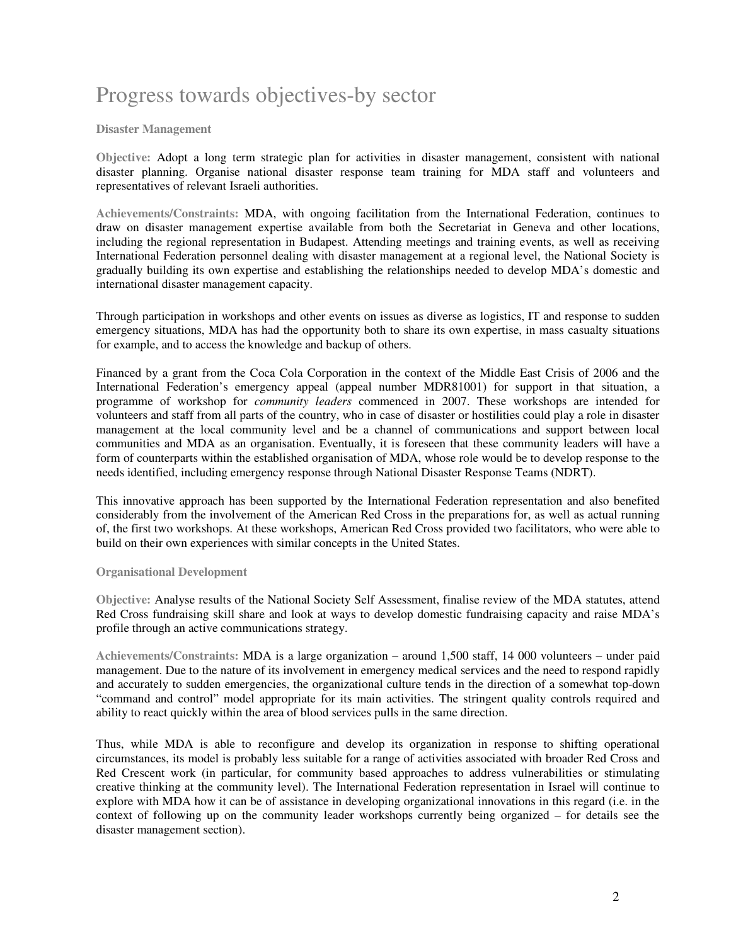## Progress towards objectives-by sector

#### **Disaster Management**

**Objective:** Adopt a long term strategic plan for activities in disaster management, consistent with national disaster planning. Organise national disaster response team training for MDA staff and volunteers and representatives of relevant Israeli authorities.

**Achievements/Constraints:** MDA, with ongoing facilitation from the International Federation, continues to draw on disaster management expertise available from both the Secretariat in Geneva and other locations, including the regional representation in Budapest. Attending meetings and training events, as well as receiving International Federation personnel dealing with disaster management at a regional level, the National Society is gradually building its own expertise and establishing the relationships needed to develop MDA's domestic and international disaster management capacity.

Through participation in workshops and other events on issues as diverse as logistics, IT and response to sudden emergency situations, MDA has had the opportunity both to share its own expertise, in mass casualty situations for example, and to access the knowledge and backup of others.

Financed by a grant from the Coca Cola Corporation in the context of the Middle East Crisis of 2006 and the International Federation's emergency appeal (appeal number MDR81001) for support in that situation, a programme of workshop for *community leaders* commenced in 2007. These workshops are intended for volunteers and staff from all parts of the country, who in case of disaster or hostilities could play a role in disaster management at the local community level and be a channel of communications and support between local communities and MDA as an organisation. Eventually, it is foreseen that these community leaders will have a form of counterparts within the established organisation of MDA, whose role would be to develop response to the needs identified, including emergency response through National Disaster Response Teams (NDRT).

This innovative approach has been supported by the International Federation representation and also benefited considerably from the involvement of the American Red Cross in the preparations for, as well as actual running of, the first two workshops. At these workshops, American Red Cross provided two facilitators, who were able to build on their own experiences with similar concepts in the United States.

#### **Organisational Development**

**Objective:** Analyse results of the National Society Self Assessment, finalise review of the MDA statutes, attend Red Cross fundraising skill share and look at ways to develop domestic fundraising capacity and raise MDA's profile through an active communications strategy.

**Achievements/Constraints:** MDA is a large organization – around 1,500 staff, 14 000 volunteers – under paid management. Due to the nature of its involvement in emergency medical services and the need to respond rapidly and accurately to sudden emergencies, the organizational culture tends in the direction of a somewhat top-down "command and control" model appropriate for its main activities. The stringent quality controls required and ability to react quickly within the area of blood services pulls in the same direction.

Thus, while MDA is able to reconfigure and develop its organization in response to shifting operational circumstances, its model is probably less suitable for a range of activities associated with broader Red Cross and Red Crescent work (in particular, for community based approaches to address vulnerabilities or stimulating creative thinking at the community level). The International Federation representation in Israel will continue to explore with MDA how it can be of assistance in developing organizational innovations in this regard (i.e. in the context of following up on the community leader workshops currently being organized – for details see the disaster management section).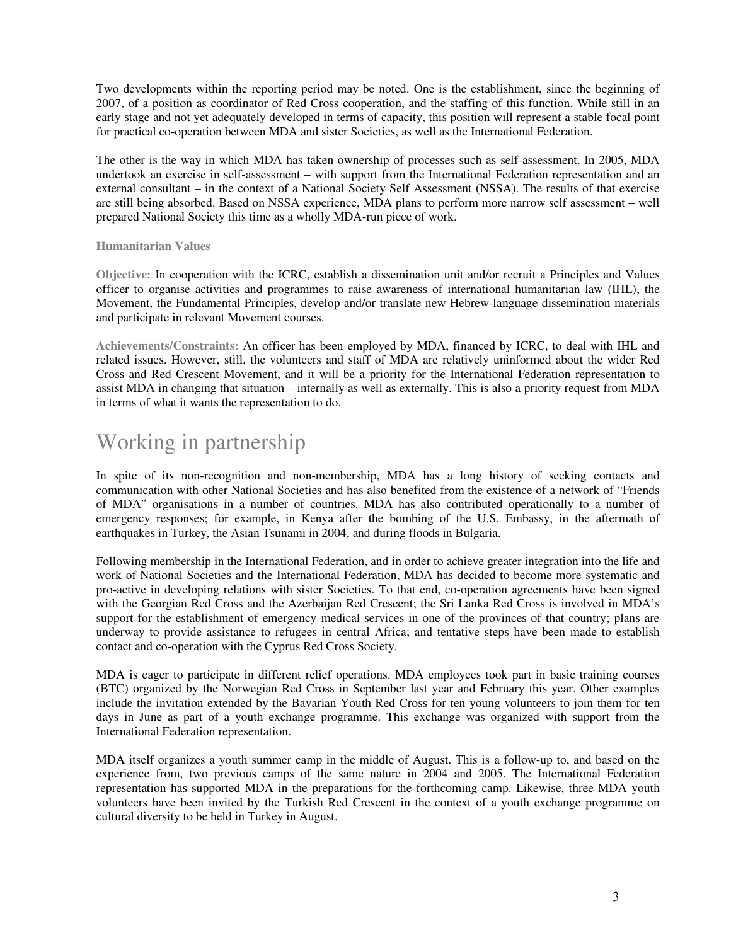Two developments within the reporting period may be noted. One is the establishment, since the beginning of 2007, of a position as coordinator of Red Cross cooperation, and the staffing of this function. While still in an early stage and not yet adequately developed in terms of capacity, this position will represent a stable focal point for practical co-operation between MDA and sister Societies, as well as the International Federation.

The other is the way in which MDA has taken ownership of processes such as self-assessment. In 2005, MDA undertook an exercise in self-assessment – with support from the International Federation representation and an external consultant – in the context of a National Society Self Assessment (NSSA). The results of that exercise are still being absorbed. Based on NSSA experience, MDA plans to perform more narrow self assessment – well prepared National Society this time as a wholly MDA-run piece of work.

#### **Humanitarian Values**

**Objective:** In cooperation with the ICRC, establish a dissemination unit and/or recruit a Principles and Values officer to organise activities and programmes to raise awareness of international humanitarian law (IHL), the Movement, the Fundamental Principles, develop and/or translate new Hebrew-language dissemination materials and participate in relevant Movement courses.

**Achievements/Constraints:** An officer has been employed by MDA, financed by ICRC, to deal with IHL and related issues. However, still, the volunteers and staff of MDA are relatively uninformed about the wider Red Cross and Red Crescent Movement, and it will be a priority for the International Federation representation to assist MDA in changing that situation – internally as well as externally. This is also a priority request from MDA in terms of what it wants the representation to do.

## Working in partnership

In spite of its non-recognition and non-membership, MDA has a long history of seeking contacts and communication with other National Societies and has also benefited from the existence of a network of "Friends of MDA" organisations in a number of countries. MDA has also contributed operationally to a number of emergency responses; for example, in Kenya after the bombing of the U.S. Embassy, in the aftermath of earthquakes in Turkey, the Asian Tsunami in 2004, and during floods in Bulgaria.

Following membership in the International Federation, and in order to achieve greater integration into the life and work of National Societies and the International Federation, MDA has decided to become more systematic and pro-active in developing relations with sister Societies. To that end, co-operation agreements have been signed with the Georgian Red Cross and the Azerbaijan Red Crescent; the Sri Lanka Red Cross is involved in MDA's support for the establishment of emergency medical services in one of the provinces of that country; plans are underway to provide assistance to refugees in central Africa; and tentative steps have been made to establish contact and co-operation with the Cyprus Red Cross Society.

MDA is eager to participate in different relief operations. MDA employees took part in basic training courses (BTC) organized by the Norwegian Red Cross in September last year and February this year. Other examples include the invitation extended by the Bavarian Youth Red Cross for ten young volunteers to join them for ten days in June as part of a youth exchange programme. This exchange was organized with support from the International Federation representation.

MDA itself organizes a youth summer camp in the middle of August. This is a follow-up to, and based on the experience from, two previous camps of the same nature in 2004 and 2005. The International Federation representation has supported MDA in the preparations for the forthcoming camp. Likewise, three MDA youth volunteers have been invited by the Turkish Red Crescent in the context of a youth exchange programme on cultural diversity to be held in Turkey in August.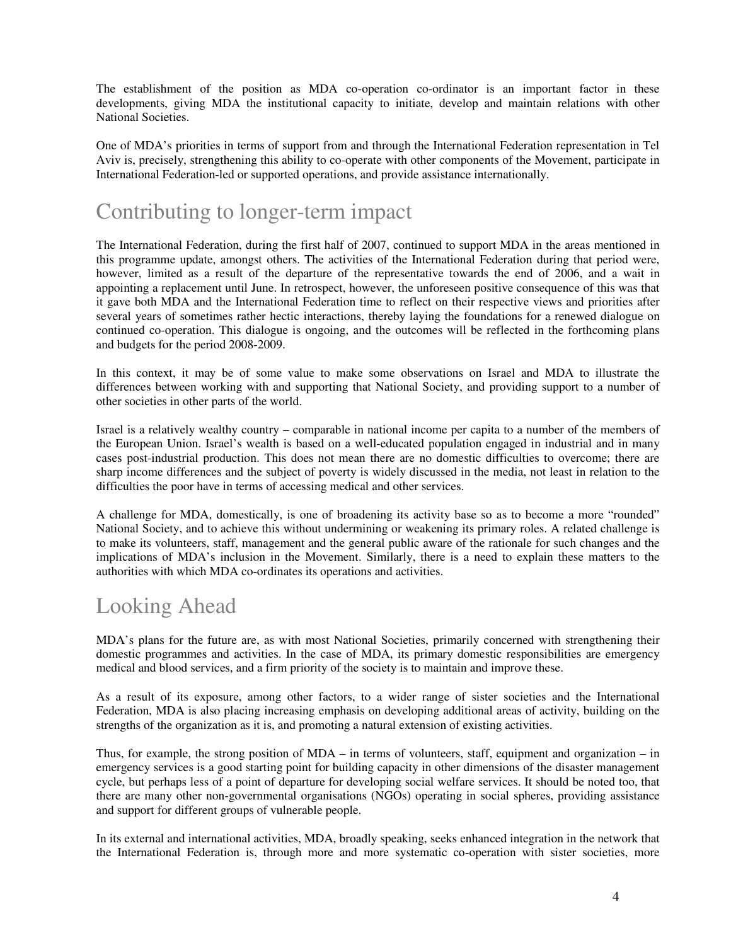The establishment of the position as MDA co-operation co-ordinator is an important factor in these developments, giving MDA the institutional capacity to initiate, develop and maintain relations with other National Societies.

One of MDA's priorities in terms of support from and through the International Federation representation in Tel Aviv is, precisely, strengthening this ability to co-operate with other components of the Movement, participate in International Federation-led or supported operations, and provide assistance internationally.

## Contributing to longer-term impact

The International Federation, during the first half of 2007, continued to support MDA in the areas mentioned in this programme update, amongst others. The activities of the International Federation during that period were, however, limited as a result of the departure of the representative towards the end of 2006, and a wait in appointing a replacement until June. In retrospect, however, the unforeseen positive consequence of this was that it gave both MDA and the International Federation time to reflect on their respective views and priorities after several years of sometimes rather hectic interactions, thereby laying the foundations for a renewed dialogue on continued co-operation. This dialogue is ongoing, and the outcomes will be reflected in the forthcoming plans and budgets for the period 2008-2009.

In this context, it may be of some value to make some observations on Israel and MDA to illustrate the differences between working with and supporting that National Society, and providing support to a number of other societies in other parts of the world.

Israel is a relatively wealthy country – comparable in national income per capita to a number of the members of the European Union. Israel's wealth is based on a well-educated population engaged in industrial and in many cases post-industrial production. This does not mean there are no domestic difficulties to overcome; there are sharp income differences and the subject of poverty is widely discussed in the media, not least in relation to the difficulties the poor have in terms of accessing medical and other services.

A challenge for MDA, domestically, is one of broadening its activity base so as to become a more "rounded" National Society, and to achieve this without undermining or weakening its primary roles. A related challenge is to make its volunteers, staff, management and the general public aware of the rationale for such changes and the implications of MDA's inclusion in the Movement. Similarly, there is a need to explain these matters to the authorities with which MDA co-ordinates its operations and activities.

## Looking Ahead

MDA's plans for the future are, as with most National Societies, primarily concerned with strengthening their domestic programmes and activities. In the case of MDA, its primary domestic responsibilities are emergency medical and blood services, and a firm priority of the society is to maintain and improve these.

As a result of its exposure, among other factors, to a wider range of sister societies and the International Federation, MDA is also placing increasing emphasis on developing additional areas of activity, building on the strengths of the organization as it is, and promoting a natural extension of existing activities.

Thus, for example, the strong position of MDA – in terms of volunteers, staff, equipment and organization – in emergency services is a good starting point for building capacity in other dimensions of the disaster management cycle, but perhaps less of a point of departure for developing social welfare services. It should be noted too, that there are many other non-governmental organisations (NGOs) operating in social spheres, providing assistance and support for different groups of vulnerable people.

In its external and international activities, MDA, broadly speaking, seeks enhanced integration in the network that the International Federation is, through more and more systematic co-operation with sister societies, more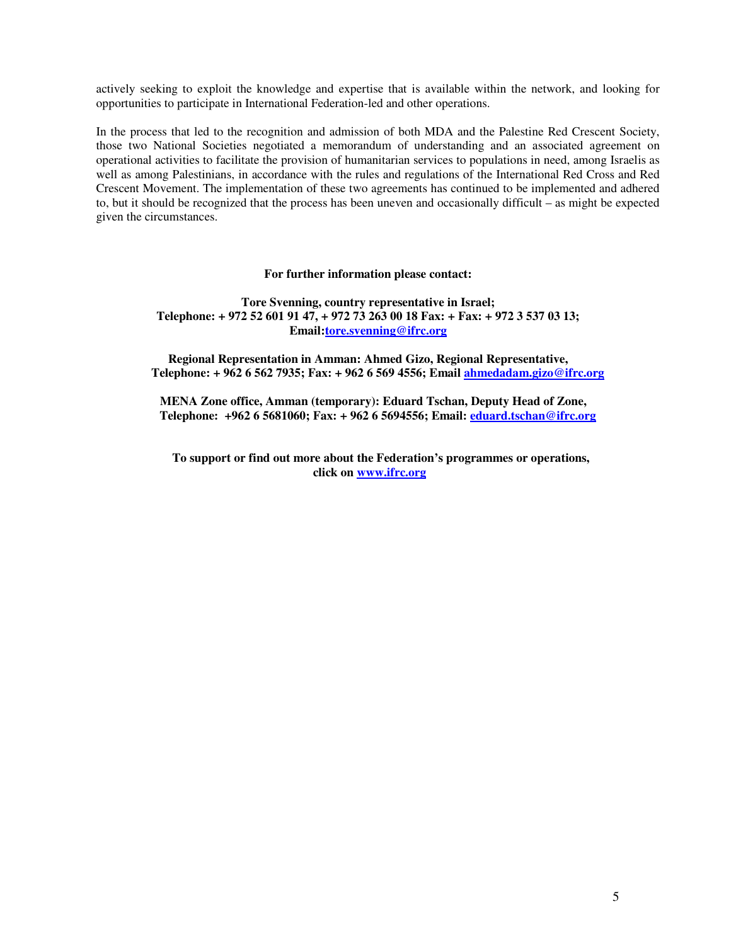actively seeking to exploit the knowledge and expertise that is available within the network, and looking for opportunities to participate in International Federation-led and other operations.

In the process that led to the recognition and admission of both MDA and the Palestine Red Crescent Society, those two National Societies negotiated a memorandum of understanding and an associated agreement on operational activities to facilitate the provision of humanitarian services to populations in need, among Israelis as well as among Palestinians, in accordance with the rules and regulations of the International Red Cross and Red Crescent Movement. The implementation of these two agreements has continued to be implemented and adhered to, but it should be recognized that the process has been uneven and occasionally difficult – as might be expected given the circumstances.

#### **For further information please contact:**

#### **Tore Svenning, country representative in Israel; Telephone: + 972 52 601 91 47, + 972 73 263 00 18 Fax: + Fax: + 972 3 537 03 13; Email:tore.svenning@ifrc.org**

**Regional Representation in Amman: Ahmed Gizo, Regional Representative, Telephone: + 962 6 562 7935; Fax: + 962 6 569 4556; Email ahmedadam.gizo@ifrc.org**

**MENA Zone office, Amman (temporary): Eduard Tschan, Deputy Head of Zone, Telephone: +962 6 5681060; Fax: + 962 6 5694556; Email: eduard.tschan@ifrc.org**

**To support or find out more about the Federation's programmes or operations, click on www.ifrc.org**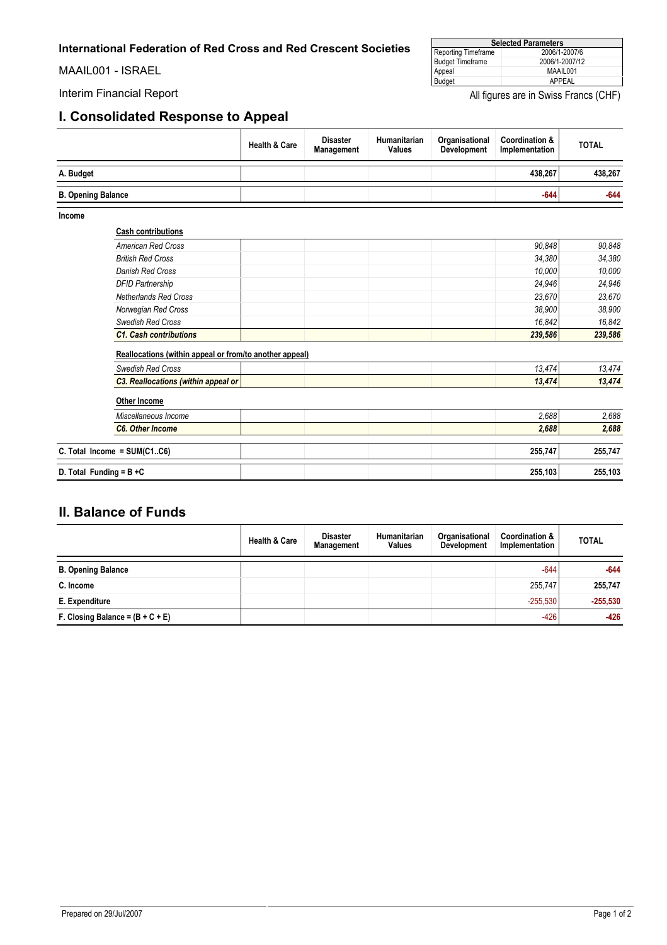<span id="page-5-0"></span>MAAIL001 - ISRAEL

#### **I. Consolidated Response to Appeal**

| <b>Selected Parameters</b> |                |  |  |  |  |
|----------------------------|----------------|--|--|--|--|
| Reporting Timeframe        | 2006/1-2007/6  |  |  |  |  |
| <b>Budget Timeframe</b>    | 2006/1-2007/12 |  |  |  |  |
|                            | MAAIL001       |  |  |  |  |
| Appeal<br>Budget           | APPEAL         |  |  |  |  |

Interim Financial Report **All figures** are in Swiss Francs (CHF)

|                           |                                                         | <b>Health &amp; Care</b> | <b>Disaster</b><br>Management | Humanitarian<br><b>Values</b> | Organisational<br><b>Development</b> | <b>Coordination &amp;</b><br>Implementation | <b>TOTAL</b> |
|---------------------------|---------------------------------------------------------|--------------------------|-------------------------------|-------------------------------|--------------------------------------|---------------------------------------------|--------------|
| A. Budget                 |                                                         |                          |                               |                               |                                      | 438,267                                     | 438,267      |
| <b>B. Opening Balance</b> |                                                         |                          |                               |                               |                                      | $-644$                                      | $-644$       |
| Income                    |                                                         |                          |                               |                               |                                      |                                             |              |
|                           | <b>Cash contributions</b>                               |                          |                               |                               |                                      |                                             |              |
|                           | <b>American Red Cross</b>                               |                          |                               |                               |                                      | 90,848                                      | 90.848       |
|                           | <b>British Red Cross</b>                                |                          |                               |                               |                                      | 34,380                                      | 34,380       |
|                           | Danish Red Cross                                        |                          |                               |                               |                                      | 10,000                                      | 10,000       |
|                           | <b>DFID Partnership</b>                                 |                          |                               |                               |                                      | 24,946                                      | 24,946       |
|                           | <b>Netherlands Red Cross</b>                            |                          |                               |                               |                                      | 23,670                                      | 23,670       |
|                           | Norwegian Red Cross                                     |                          |                               |                               |                                      | 38,900                                      | 38,900       |
|                           | <b>Swedish Red Cross</b>                                |                          |                               |                               |                                      | 16,842                                      | 16.842       |
|                           | <b>C1. Cash contributions</b>                           |                          |                               |                               |                                      | 239,586                                     | 239,586      |
|                           | Reallocations (within appeal or from/to another appeal) |                          |                               |                               |                                      |                                             |              |
|                           | <b>Swedish Red Cross</b>                                |                          |                               |                               |                                      | 13,474                                      | 13,474       |
|                           | C3. Reallocations (within appeal or                     |                          |                               |                               |                                      | 13,474                                      | 13,474       |
|                           | <b>Other Income</b>                                     |                          |                               |                               |                                      |                                             |              |
|                           | Miscellaneous Income                                    |                          |                               |                               |                                      | 2,688                                       | 2,688        |
|                           | <b>C6. Other Income</b>                                 |                          |                               |                               |                                      | 2,688                                       | 2,688        |
|                           | C. Total Income = $SUM(C1C6)$                           |                          |                               |                               |                                      | 255,747                                     | 255,747      |
|                           | D. Total Funding = $B + C$                              |                          |                               |                               |                                      | 255,103                                     | 255,103      |

#### **II. Balance of Funds**

|                                    | <b>Health &amp; Care</b> | <b>Disaster</b><br><b>Management</b> | <b>Humanitarian</b><br><b>Values</b> | Organisational<br><b>Development</b> | <b>Coordination &amp;</b><br>Implementation | <b>TOTAL</b> |
|------------------------------------|--------------------------|--------------------------------------|--------------------------------------|--------------------------------------|---------------------------------------------|--------------|
| <b>B. Opening Balance</b>          |                          |                                      |                                      |                                      | $-644$                                      | $-644$       |
| C. Income                          |                          |                                      |                                      |                                      | 255,747                                     | 255,747      |
| E. Expenditure                     |                          |                                      |                                      |                                      | $-255.530$                                  | $-255,530$   |
| F. Closing Balance = $(B + C + E)$ |                          |                                      |                                      |                                      | $-426$                                      | $-426$       |